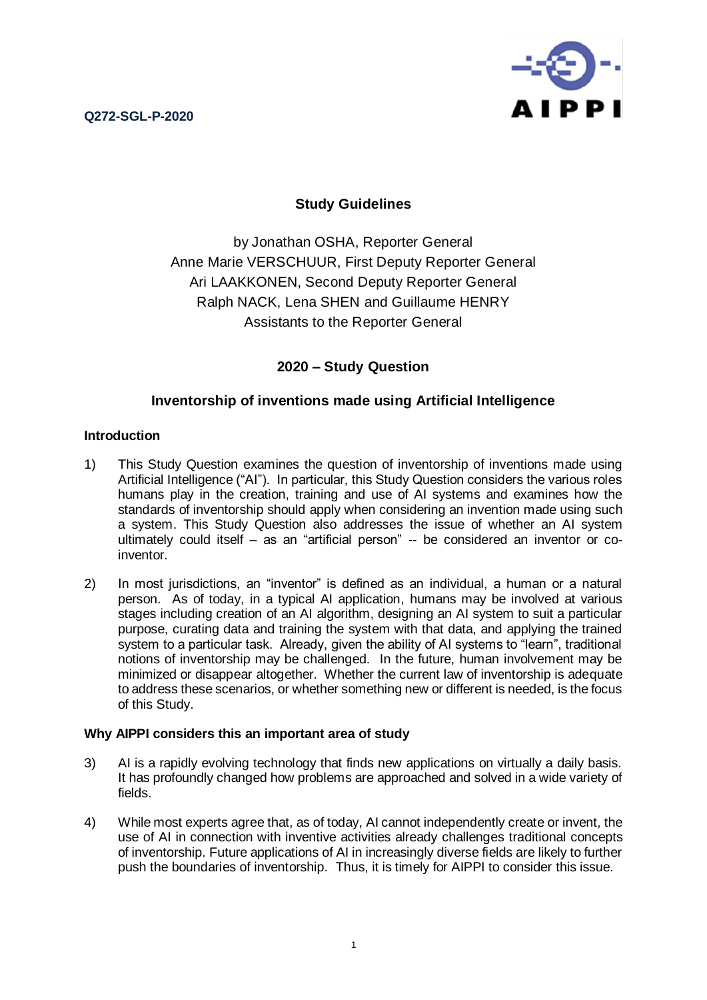**Q272-SGL-P-2020**



# **Study Guidelines**

by Jonathan OSHA, Reporter General Anne Marie VERSCHUUR, First Deputy Reporter General Ari LAAKKONEN, Second Deputy Reporter General Ralph NACK, Lena SHEN and Guillaume HENRY Assistants to the Reporter General

# **2020 – Study Question**

# **Inventorship of inventions made using Artificial Intelligence**

# **Introduction**

- 1) This Study Question examines the question of inventorship of inventions made using Artificial Intelligence ("AI"). In particular, this Study Question considers the various roles humans play in the creation, training and use of AI systems and examines how the standards of inventorship should apply when considering an invention made using such a system. This Study Question also addresses the issue of whether an AI system ultimately could itself – as an "artificial person" -- be considered an inventor or coinventor.
- 2) In most jurisdictions, an "inventor" is defined as an individual, a human or a natural person. As of today, in a typical AI application, humans may be involved at various stages including creation of an AI algorithm, designing an AI system to suit a particular purpose, curating data and training the system with that data, and applying the trained system to a particular task. Already, given the ability of AI systems to "learn", traditional notions of inventorship may be challenged. In the future, human involvement may be minimized or disappear altogether. Whether the current law of inventorship is adequate to address these scenarios, or whether something new or different is needed, is the focus of this Study.

# **Why AIPPI considers this an important area of study**

- 3) AI is a rapidly evolving technology that finds new applications on virtually a daily basis. It has profoundly changed how problems are approached and solved in a wide variety of fields.
- 4) While most experts agree that, as of today, AI cannot independently create or invent, the use of AI in connection with inventive activities already challenges traditional concepts of inventorship. Future applications of AI in increasingly diverse fields are likely to further push the boundaries of inventorship. Thus, it is timely for AIPPI to consider this issue.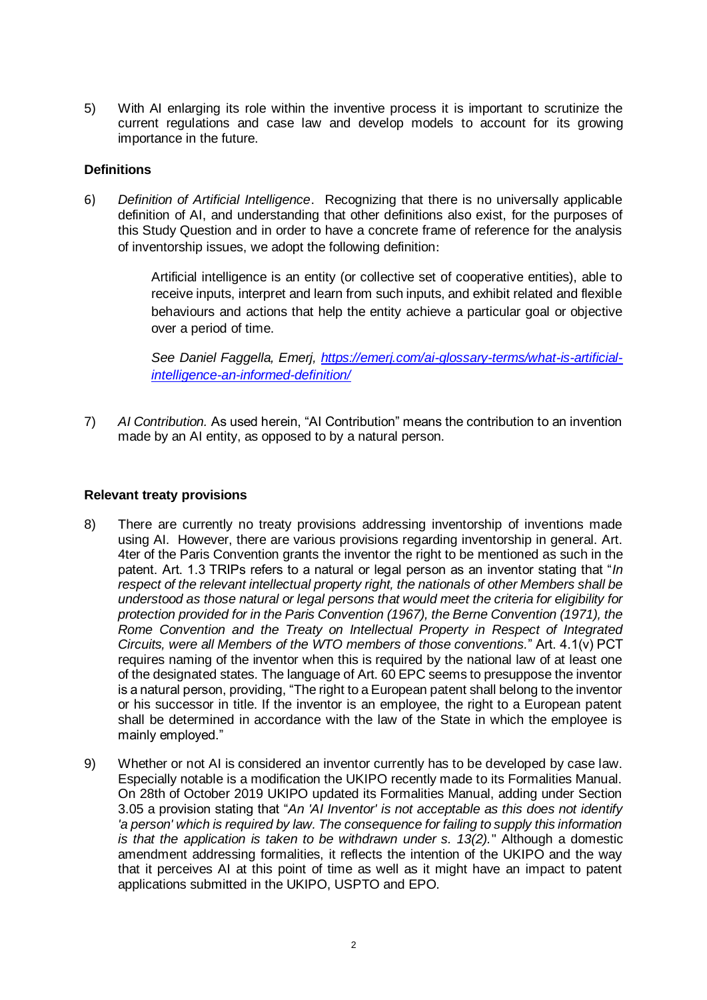5) With AI enlarging its role within the inventive process it is important to scrutinize the current regulations and case law and develop models to account for its growing importance in the future.

## **Definitions**

6) *Definition of Artificial Intelligence*. Recognizing that there is no universally applicable definition of AI, and understanding that other definitions also exist, for the purposes of this Study Question and in order to have a concrete frame of reference for the analysis of inventorship issues, we adopt the following definition:

> Artificial intelligence is an entity (or collective set of cooperative entities), able to receive inputs, interpret and learn from such inputs, and exhibit related and flexible behaviours and actions that help the entity achieve a particular goal or objective over a period of time.

> *See Daniel Faggella, Emerj, [https://emerj.com/ai-glossary-terms/what-is-artificial](https://emerj.com/ai-glossary-terms/what-is-artificial-intelligence-an-informed-definition/)[intelligence-an-informed-definition/](https://emerj.com/ai-glossary-terms/what-is-artificial-intelligence-an-informed-definition/)*

7) *AI Contribution.* As used herein, "AI Contribution" means the contribution to an invention made by an AI entity, as opposed to by a natural person.

## **Relevant treaty provisions**

- 8) There are currently no treaty provisions addressing inventorship of inventions made using AI. However, there are various provisions regarding inventorship in general. Art. 4ter of the Paris Convention grants the inventor the right to be mentioned as such in the patent. Art. 1.3 TRIPs refers to a natural or legal person as an inventor stating that "*In respect of the relevant intellectual property right, the nationals of other Members shall be understood as those natural or legal persons that would meet the criteria for eligibility for protection provided for in the Paris Convention (1967), the Berne Convention (1971), the Rome Convention and the Treaty on Intellectual Property in Respect of Integrated Circuits, were all Members of the WTO members of those conventions.*" Art. 4.1(v) PCT requires naming of the inventor when this is required by the national law of at least one of the designated states. The language of Art. 60 EPC seems to presuppose the inventor is a natural person, providing, "The right to a European patent shall belong to the inventor or his successor in title. If the inventor is an employee, the right to a European patent shall be determined in accordance with the law of the State in which the employee is mainly employed."
- 9) Whether or not AI is considered an inventor currently has to be developed by case law. Especially notable is a modification the UKIPO recently made to its Formalities Manual. On 28th of October 2019 UKIPO updated its Formalities Manual, adding under Section 3.05 a provision stating that "*An 'AI Inventor' is not acceptable as this does not identify 'a person' which is required by law. The consequence for failing to supply this information is that the application is taken to be withdrawn under s. 13(2).*" Although a domestic amendment addressing formalities, it reflects the intention of the UKIPO and the way that it perceives AI at this point of time as well as it might have an impact to patent applications submitted in the UKIPO, USPTO and EPO.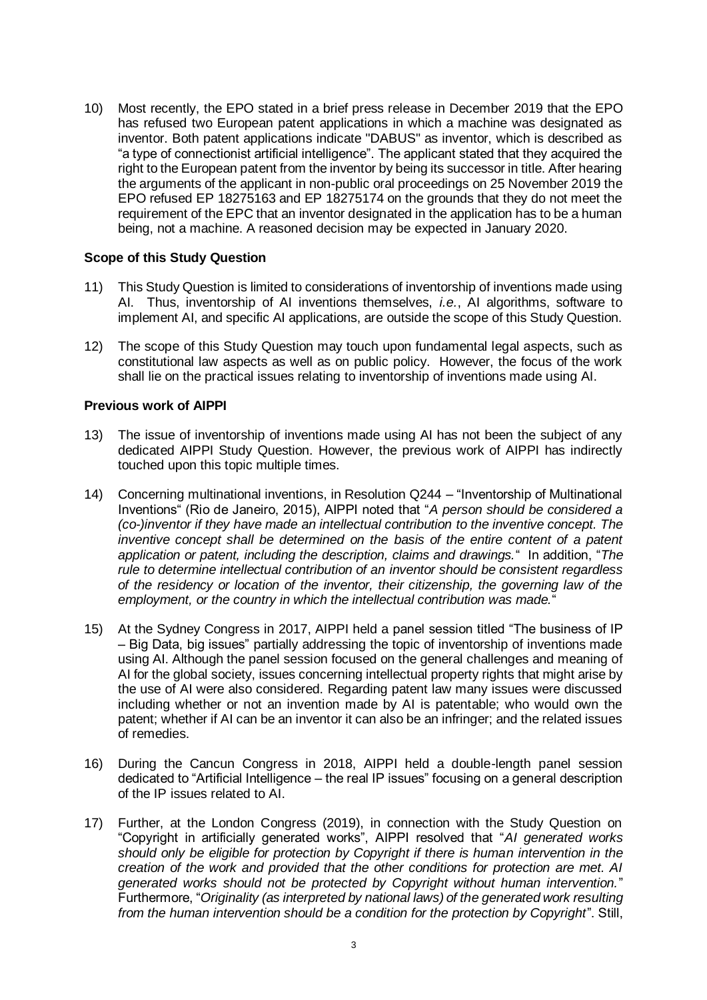10) Most recently, the EPO stated in a brief press release in December 2019 that the EPO has refused two European patent applications in which a machine was designated as inventor. Both patent applications indicate "DABUS" as inventor, which is described as "a type of connectionist artificial intelligence". The applicant stated that they acquired the right to the European patent from the inventor by being its successor in title. After hearing the arguments of the applicant in non-public oral proceedings on 25 November 2019 the EPO refused EP 18275163 and EP 18275174 on the grounds that they do not meet the requirement of the EPC that an inventor designated in the application has to be a human being, not a machine. A reasoned decision may be expected in January 2020.

# **Scope of this Study Question**

- 11) This Study Question is limited to considerations of inventorship of inventions made using AI. Thus, inventorship of AI inventions themselves, *i.e.*, AI algorithms, software to implement AI, and specific AI applications, are outside the scope of this Study Question.
- 12) The scope of this Study Question may touch upon fundamental legal aspects, such as constitutional law aspects as well as on public policy. However, the focus of the work shall lie on the practical issues relating to inventorship of inventions made using AI.

# **Previous work of AIPPI**

- 13) The issue of inventorship of inventions made using AI has not been the subject of any dedicated AIPPI Study Question. However, the previous work of AIPPI has indirectly touched upon this topic multiple times.
- 14) Concerning multinational inventions, in Resolution Q244 "Inventorship of Multinational Inventions" (Rio de Janeiro, 2015), AIPPI noted that "*A person should be considered a (co-)inventor if they have made an intellectual contribution to the inventive concept. The*  inventive concept shall be determined on the basis of the entire content of a patent *application or patent, including the description, claims and drawings.*"In addition, "*The rule to determine intellectual contribution of an inventor should be consistent regardless of the residency or location of the inventor, their citizenship, the governing law of the employment, or the country in which the intellectual contribution was made.*"
- 15) At the Sydney Congress in 2017, AIPPI held a panel session titled "The business of IP – Big Data, big issues" partially addressing the topic of inventorship of inventions made using AI. Although the panel session focused on the general challenges and meaning of AI for the global society, issues concerning intellectual property rights that might arise by the use of AI were also considered. Regarding patent law many issues were discussed including whether or not an invention made by AI is patentable; who would own the patent; whether if AI can be an inventor it can also be an infringer; and the related issues of remedies.
- 16) During the Cancun Congress in 2018, AIPPI held a double-length panel session dedicated to "Artificial Intelligence – the real IP issues" focusing on a general description of the IP issues related to AI.
- 17) Further, at the London Congress (2019), in connection with the Study Question on "Copyright in artificially generated works", AIPPI resolved that "*AI generated works should only be eligible for protection by Copyright if there is human intervention in the creation of the work and provided that the other conditions for protection are met. AI generated works should not be protected by Copyright without human intervention.*" Furthermore, "*Originality (as interpreted by national laws) of the generated work resulting from the human intervention should be a condition for the protection by Copyright*". Still,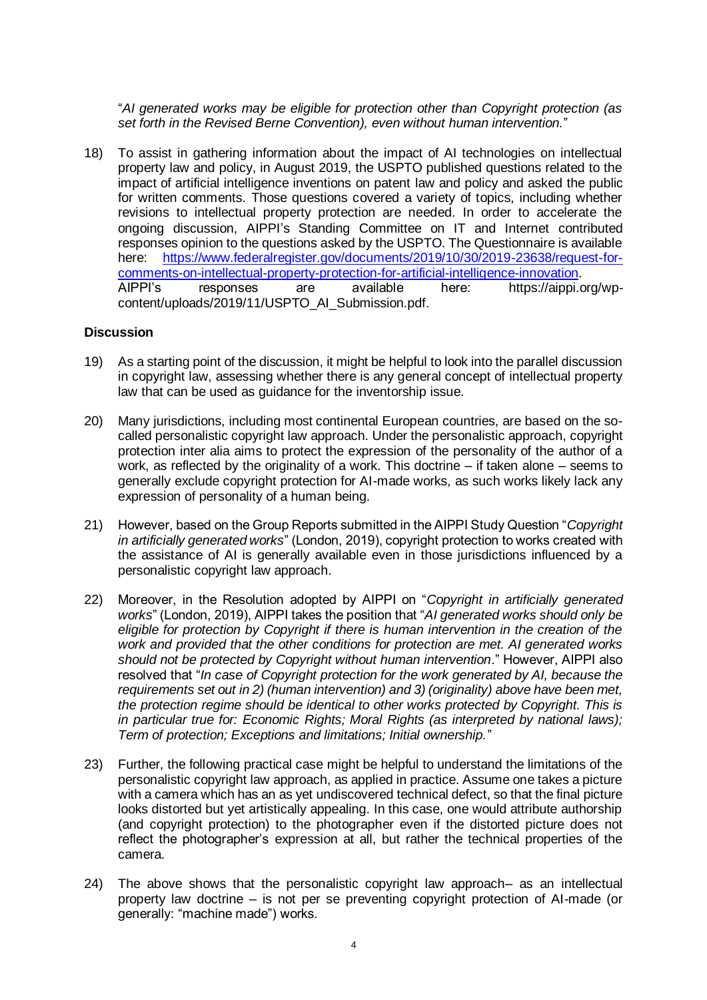"*AI generated works may be eligible for protection other than Copyright protection (as set forth in the Revised Berne Convention), even without human intervention.*"

18) To assist in gathering information about the impact of AI technologies on intellectual property law and policy, in August 2019, the USPTO published questions related to the impact of artificial intelligence inventions on patent law and policy and asked the public for written comments. Those questions covered a variety of topics, including whether revisions to intellectual property protection are needed. In order to accelerate the ongoing discussion, AIPPI's Standing Committee on IT and Internet contributed responses opinion to the questions asked by the USPTO. The Questionnaire is available here: [https://www.federalregister.gov/documents/2019/10/30/2019-23638/request-for](https://www.federalregister.gov/documents/2019/10/30/2019-23638/request-for-comments-on-intellectual-property-protection-for-artificial-intelligence-innovation)[comments-on-intellectual-property-protection-for-artificial-intelligence-innovation.](https://www.federalregister.gov/documents/2019/10/30/2019-23638/request-for-comments-on-intellectual-property-protection-for-artificial-intelligence-innovation) AIPPI's responses are available here: https://aippi.org/wpcontent/uploads/2019/11/USPTO\_AI\_Submission.pdf.

### **Discussion**

- 19) As a starting point of the discussion, it might be helpful to look into the parallel discussion in copyright law, assessing whether there is any general concept of intellectual property law that can be used as guidance for the inventorship issue.
- 20) Many jurisdictions, including most continental European countries, are based on the socalled personalistic copyright law approach. Under the personalistic approach, copyright protection inter alia aims to protect the expression of the personality of the author of a work, as reflected by the originality of a work. This doctrine – if taken alone – seems to generally exclude copyright protection for AI-made works, as such works likely lack any expression of personality of a human being.
- 21) However, based on the Group Reports submitted in the AIPPI Study Question "*Copyright in artificially generated works*" (London, 2019), copyright protection to works created with the assistance of AI is generally available even in those jurisdictions influenced by a personalistic copyright law approach.
- 22) Moreover, in the Resolution adopted by AIPPI on "*Copyright in artificially generated works*" (London, 2019), AIPPI takes the position that "*AI generated works should only be eligible for protection by Copyright if there is human intervention in the creation of the work and provided that the other conditions for protection are met. AI generated works should not be protected by Copyright without human intervention*." However, AIPPI also resolved that "*In case of Copyright protection for the work generated by AI, because the requirements set out in 2) (human intervention) and 3) (originality) above have been met, the protection regime should be identical to other works protected by Copyright. This is in particular true for: Economic Rights; Moral Rights (as interpreted by national laws); Term of protection; Exceptions and limitations; Initial ownership.*"
- 23) Further, the following practical case might be helpful to understand the limitations of the personalistic copyright law approach, as applied in practice. Assume one takes a picture with a camera which has an as yet undiscovered technical defect, so that the final picture looks distorted but yet artistically appealing. In this case, one would attribute authorship (and copyright protection) to the photographer even if the distorted picture does not reflect the photographer's expression at all, but rather the technical properties of the camera.
- 24) The above shows that the personalistic copyright law approach– as an intellectual property law doctrine – is not per se preventing copyright protection of AI-made (or generally: "machine made") works.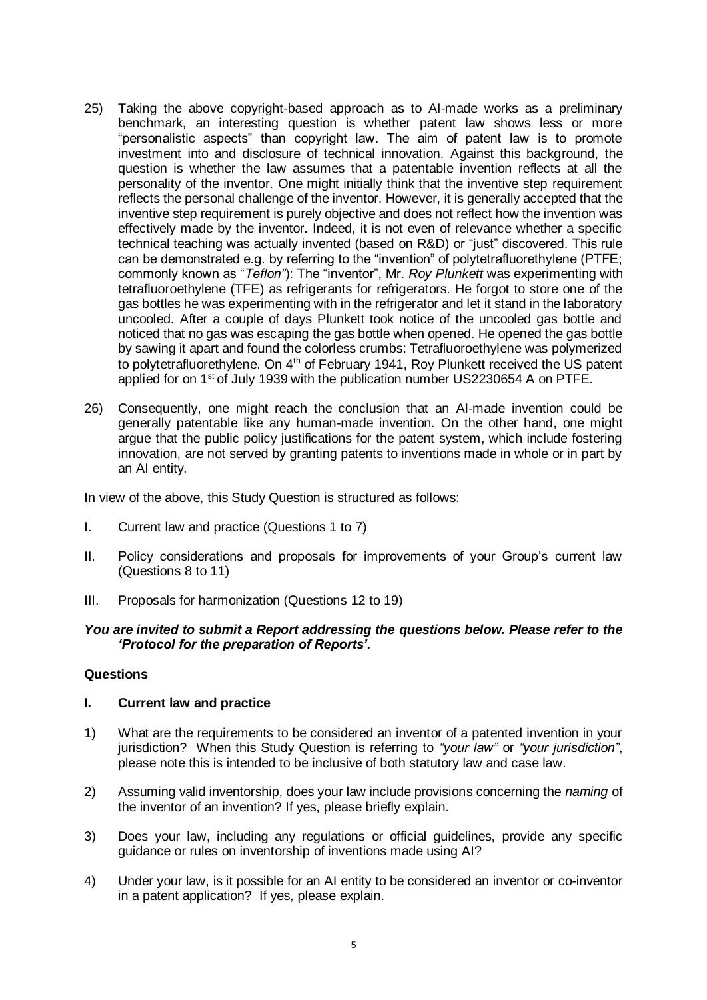- 25) Taking the above copyright-based approach as to AI-made works as a preliminary benchmark, an interesting question is whether patent law shows less or more "personalistic aspects" than copyright law. The aim of patent law is to promote investment into and disclosure of technical innovation. Against this background, the question is whether the law assumes that a patentable invention reflects at all the personality of the inventor. One might initially think that the inventive step requirement reflects the personal challenge of the inventor. However, it is generally accepted that the inventive step requirement is purely objective and does not reflect how the invention was effectively made by the inventor. Indeed, it is not even of relevance whether a specific technical teaching was actually invented (based on R&D) or "just" discovered. This rule can be demonstrated e.g. by referring to the "invention" of polytetrafluorethylene (PTFE; commonly known as "*Teflon"*): The "inventor", Mr. *Roy Plunkett* was experimenting with tetrafluoroethylene (TFE) as refrigerants for refrigerators. He forgot to store one of the gas bottles he was experimenting with in the refrigerator and let it stand in the laboratory uncooled. After a couple of days Plunkett took notice of the uncooled gas bottle and noticed that no gas was escaping the gas bottle when opened. He opened the gas bottle by sawing it apart and found the colorless crumbs: Tetrafluoroethylene was polymerized to polytetrafluorethylene. On 4<sup>th</sup> of February 1941, Roy Plunkett received the US patent applied for on 1<sup>st</sup> of July 1939 with the publication number US2230654 A on PTFE.
- 26) Consequently, one might reach the conclusion that an AI-made invention could be generally patentable like any human-made invention. On the other hand, one might argue that the public policy justifications for the patent system, which include fostering innovation, are not served by granting patents to inventions made in whole or in part by an AI entity.

In view of the above, this Study Question is structured as follows:

- I. Current law and practice (Questions 1 to 7)
- II. Policy considerations and proposals for improvements of your Group's current law (Questions 8 to 11)
- III. Proposals for harmonization (Questions 12 to 19)

### *You are invited to submit a Report addressing the questions below. Please refer to the 'Protocol for the preparation of Reports'.*

#### **Questions**

# **I. Current law and practice**

- 1) What are the requirements to be considered an inventor of a patented invention in your jurisdiction? When this Study Question is referring to *"your law"* or *"your jurisdiction"*, please note this is intended to be inclusive of both statutory law and case law.
- 2) Assuming valid inventorship, does your law include provisions concerning the *naming* of the inventor of an invention? If yes, please briefly explain.
- 3) Does your law, including any regulations or official guidelines, provide any specific guidance or rules on inventorship of inventions made using AI?
- 4) Under your law, is it possible for an AI entity to be considered an inventor or co-inventor in a patent application? If yes, please explain.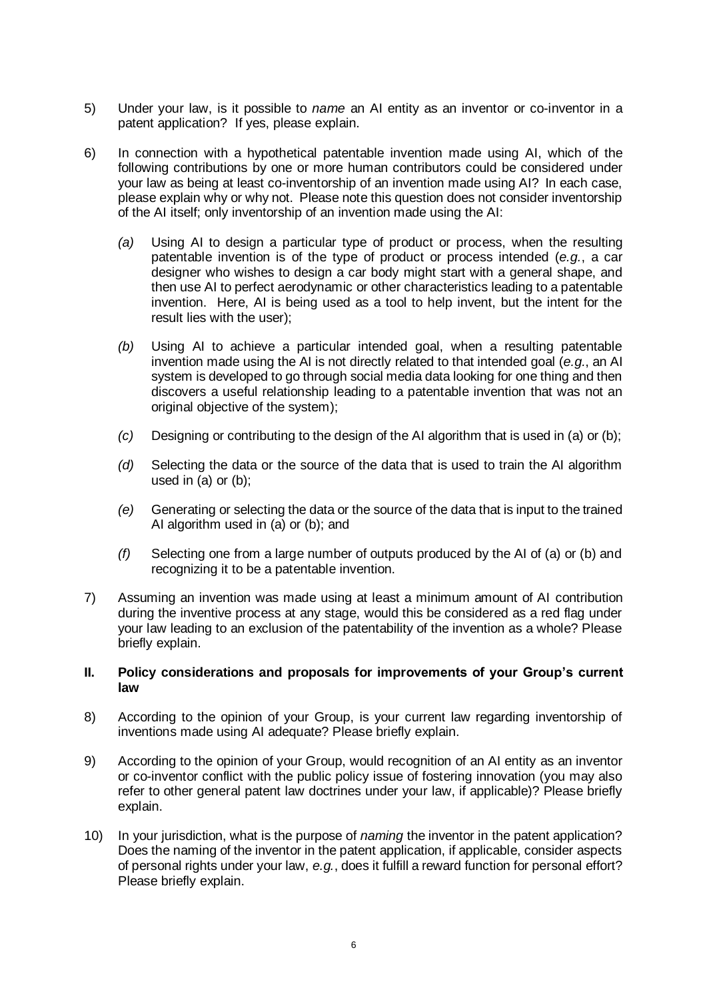- 5) Under your law, is it possible to *name* an AI entity as an inventor or co-inventor in a patent application? If yes, please explain.
- 6) In connection with a hypothetical patentable invention made using AI, which of the following contributions by one or more human contributors could be considered under your law as being at least co-inventorship of an invention made using AI? In each case, please explain why or why not. Please note this question does not consider inventorship of the AI itself; only inventorship of an invention made using the AI:
	- *(a)* Using AI to design a particular type of product or process, when the resulting patentable invention is of the type of product or process intended (*e.g.*, a car designer who wishes to design a car body might start with a general shape, and then use AI to perfect aerodynamic or other characteristics leading to a patentable invention. Here, AI is being used as a tool to help invent, but the intent for the result lies with the user);
	- *(b)* Using AI to achieve a particular intended goal, when a resulting patentable invention made using the AI is not directly related to that intended goal (*e.g.*, an AI system is developed to go through social media data looking for one thing and then discovers a useful relationship leading to a patentable invention that was not an original objective of the system);
	- *(c)* Designing or contributing to the design of the AI algorithm that is used in (a) or (b);
	- *(d)* Selecting the data or the source of the data that is used to train the AI algorithm used in (a) or (b);
	- *(e)* Generating or selecting the data or the source of the data that is input to the trained AI algorithm used in (a) or (b); and
	- *(f)* Selecting one from a large number of outputs produced by the AI of (a) or (b) and recognizing it to be a patentable invention.
- 7) Assuming an invention was made using at least a minimum amount of AI contribution during the inventive process at any stage, would this be considered as a red flag under your law leading to an exclusion of the patentability of the invention as a whole? Please briefly explain.

### **II. Policy considerations and proposals for improvements of your Group's current law**

- 8) According to the opinion of your Group, is your current law regarding inventorship of inventions made using AI adequate? Please briefly explain.
- 9) According to the opinion of your Group, would recognition of an AI entity as an inventor or co-inventor conflict with the public policy issue of fostering innovation (you may also refer to other general patent law doctrines under your law, if applicable)? Please briefly explain.
- 10) In your jurisdiction, what is the purpose of *naming* the inventor in the patent application? Does the naming of the inventor in the patent application, if applicable, consider aspects of personal rights under your law, *e.g.*, does it fulfill a reward function for personal effort? Please briefly explain.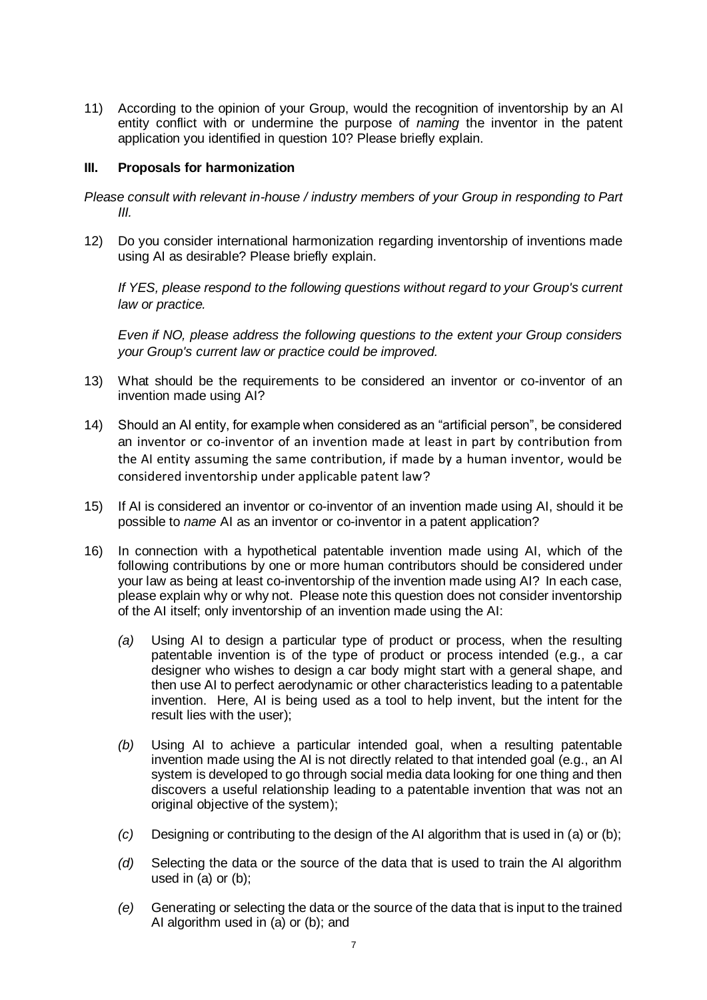11) According to the opinion of your Group, would the recognition of inventorship by an AI entity conflict with or undermine the purpose of *naming* the inventor in the patent application you identified in question 10? Please briefly explain.

## **III. Proposals for harmonization**

*Please consult with relevant in-house / industry members of your Group in responding to Part III.*

12) Do you consider international harmonization regarding inventorship of inventions made using AI as desirable? Please briefly explain.

*If YES, please respond to the following questions without regard to your Group's current law or practice.*

*Even if NO, please address the following questions to the extent your Group considers your Group's current law or practice could be improved.*

- 13) What should be the requirements to be considered an inventor or co-inventor of an invention made using AI?
- 14) Should an AI entity, for example when considered as an "artificial person", be considered an inventor or co-inventor of an invention made at least in part by contribution from the AI entity assuming the same contribution, if made by a human inventor, would be considered inventorship under applicable patent law?
- 15) If AI is considered an inventor or co-inventor of an invention made using AI, should it be possible to *name* AI as an inventor or co-inventor in a patent application?
- 16) In connection with a hypothetical patentable invention made using AI, which of the following contributions by one or more human contributors should be considered under your law as being at least co-inventorship of the invention made using AI? In each case, please explain why or why not. Please note this question does not consider inventorship of the AI itself; only inventorship of an invention made using the AI:
	- *(a)* Using AI to design a particular type of product or process, when the resulting patentable invention is of the type of product or process intended (e.g., a car designer who wishes to design a car body might start with a general shape, and then use AI to perfect aerodynamic or other characteristics leading to a patentable invention. Here, AI is being used as a tool to help invent, but the intent for the result lies with the user);
	- *(b)* Using AI to achieve a particular intended goal, when a resulting patentable invention made using the AI is not directly related to that intended goal (e.g., an AI system is developed to go through social media data looking for one thing and then discovers a useful relationship leading to a patentable invention that was not an original objective of the system);
	- *(c)* Designing or contributing to the design of the AI algorithm that is used in (a) or (b);
	- *(d)* Selecting the data or the source of the data that is used to train the AI algorithm used in (a) or (b);
	- *(e)* Generating or selecting the data or the source of the data that is input to the trained AI algorithm used in (a) or (b); and